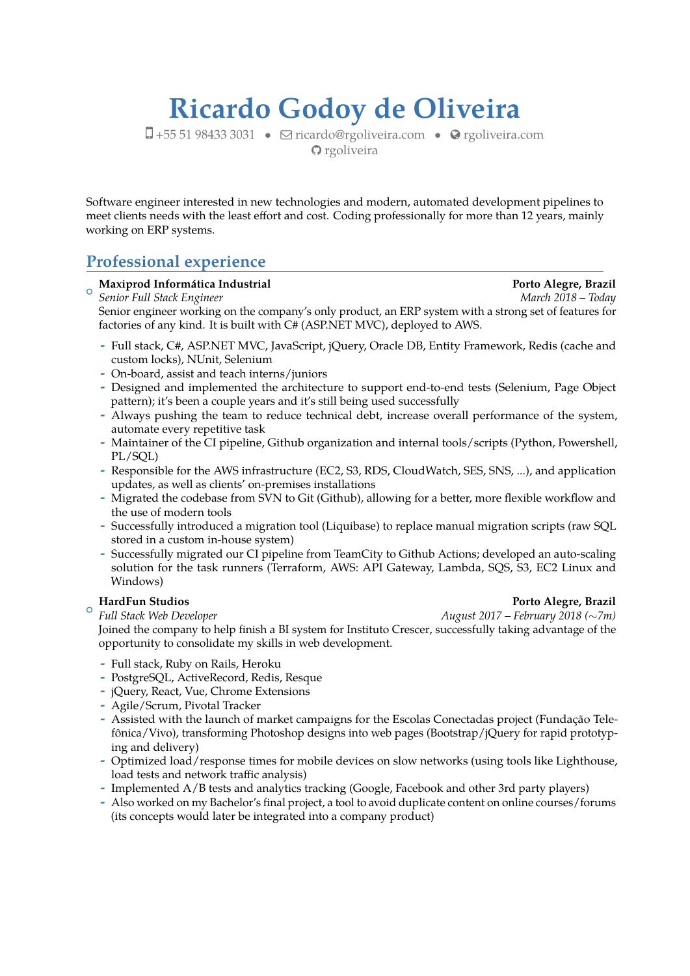# **Ricardo Godoy de Oliveira**

 $\square$ [+55 51 98433 3031](tel:05551984333031) •  $\square$  [ricardo@rgoliveira.com](mailto:ricardo@rgoliveira.com) • © [rgoliveira.com](http://rgoliveira.com) [rgoliveira](http://www.github.com/rgoliveira)

Software engineer interested in new technologies and modern, automated development pipelines to meet clients needs with the least effort and cost. Coding professionally for more than 12 years, mainly working on ERP systems.

# **Professional experience**

### $\circ$ Maxiprod Informática Industrial **Porto Alegre, Brazil** Porto Alegre, Brazil

*Senior Full Stack Engineer March 2018 – Today* Senior engineer working on the company's only product, an ERP system with a strong set of features for factories of any kind. It is built with C# (ASP.NET MVC), deployed to AWS.

- **-** Full stack, C#, ASP.NET MVC, JavaScript, jQuery, Oracle DB, Entity Framework, Redis (cache and custom locks), NUnit, Selenium
- **-** On-board, assist and teach interns/juniors
- **-** Designed and implemented the architecture to support end-to-end tests (Selenium, Page Object pattern); it's been a couple years and it's still being used successfully
- **-** Always pushing the team to reduce technical debt, increase overall performance of the system, automate every repetitive task
- **-** Maintainer of the CI pipeline, Github organization and internal tools/scripts (Python, Powershell, PL/SQL)
- **-** Responsible for the AWS infrastructure (EC2, S3, RDS, CloudWatch, SES, SNS, ...), and application updates, as well as clients' on-premises installations
- **-** Migrated the codebase from SVN to Git (Github), allowing for a better, more flexible workflow and the use of modern tools
- **-** Successfully introduced a migration tool (Liquibase) to replace manual migration scripts (raw SQL stored in a custom in-house system)
- **-** Successfully migrated our CI pipeline from TeamCity to Github Actions; developed an auto-scaling solution for the task runners (Terraform, AWS: API Gateway, Lambda, SQS, S3, EC2 Linux and Windows)

 $\circ$ 

*Full Stack Web Developer August 2017 – February 2018 (*∼*7m)* Joined the company to help finish a BI system for [Instituto Crescer,](http://institutocrescer.org.br/en/) successfully taking advantage of the opportunity to consolidate my skills in web development.

- **-** Full stack, Ruby on Rails, Heroku
- **-** PostgreSQL, ActiveRecord, Redis, Resque
- **-** jQuery, React, Vue, Chrome Extensions
- **-** Agile/Scrum, Pivotal Tracker
- **-** Assisted with the launch of market campaigns for the Escolas Conectadas project (Fundação Telefônica/Vivo), transforming Photoshop designs into web pages (Bootstrap/jQuery for rapid prototyping and delivery)
- **-** Optimized load/response times for mobile devices on slow networks (using tools like Lighthouse, load tests and network traffic analysis)
- **-** Implemented A/B tests and analytics tracking (Google, Facebook and other 3rd party players)
- **-** Also worked on my Bachelor's final project, a tool to avoid duplicate content on online courses/forums (its concepts would later be integrated into a company product)

### **HardFun Studios Porto Alegre, Brazil**